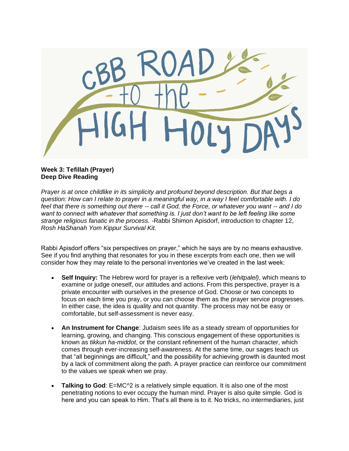

## **Week 3: Tefillah (Prayer) Deep Dive Reading**

*Prayer is at once childlike in its simplicity and profound beyond description. But that begs a question: How can I relate to prayer in a meaningful way, in a way I feel comfortable with. I do feel that there is something out there -- call it God, the Force, or whatever you want -- and I do want to connect with whatever that something is. I just don't want to be left feeling like some strange religious fanatic in the process. -*Rabbi Shimon Apisdorf, introduction to chapter 12, *Rosh HaShanah Yom Kippur Survival Kit.*

Rabbi Apisdorf offers "six perspectives on prayer," which he says are by no means exhaustive. See if you find anything that resonates for you in these excerpts from each one, then we will consider how they may relate to the personal inventories we've created in the last week:

- **Self Inquiry:** The Hebrew word for prayer is a reflexive verb (*lehitpalel)*, which means to examine or judge oneself, our attitudes and actions. From this perspective, prayer is a private encounter with ourselves in the presence of God. Choose or two concepts to focus on each time you pray, or you can choose them as the prayer service progresses. In either case, the idea is quality and not quantity. The process may not be easy or comfortable, but self-assessment is never easy.
- **An Instrument for Change**: Judaism sees life as a steady stream of opportunities for learning, growing, and changing. This conscious engagement of these opportunities is known as *tikkun ha-middot*, or the constant refinement of the human character, which comes through ever-increasing self-awareness. At the same time, our sages teach us that "all beginnings are difficult," and the possibility for achieving growth is daunted most by a lack of commitment along the path. A prayer practice can reinforce our commitment to the values we speak when we pray.
- **Talking to God:** E=MC<sup> $\land$ 2 is a relatively simple equation. It is also one of the most</sup> penetrating notions to ever occupy the human mind. Prayer is also quite simple. God is here and you can speak to Him. That's all there is to it. No tricks, no intermediaries, just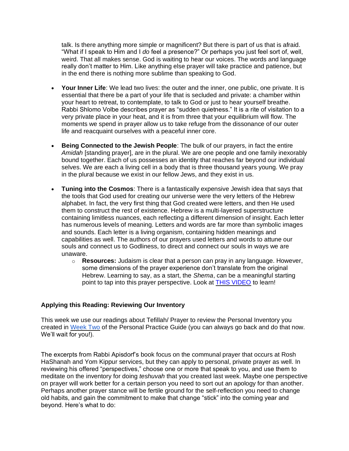talk. Is there anything more simple or magnificent? But there is part of us that is afraid. "What if I speak to Him and I *do* feel a presence?" Or perhaps you just feel sort of, well, weird. That all makes sense. God is waiting to hear our voices. The words and language really don't matter to Him. Like anything else prayer will take practice and patience, but in the end there is nothing more sublime than speaking to God.

- **Your Inner Life**: We lead two lives: the outer and the inner, one public, one private. It is essential that there be a part of your life that is secluded and private: a chamber within your heart to retreat, to contemplate, to talk to God or just to hear yourself breathe. Rabbi Shlomo Volbe describes prayer as "sudden quietness." It is a rite of visitation to a very private place in your heat, and it is from three that your equilibrium will flow. The moments we spend in prayer allow us to take refuge from the dissonance of our outer life and reacquaint ourselves with a peaceful inner core.
- **Being Connected to the Jewish People:** The bulk of our prayers, in fact the entire *Amidah* [standing prayer], are in the plural. We are one people and one family inexorably bound together. Each of us possesses an identity that reaches far beyond our individual selves. We are each a living cell in a body that is three thousand years young. We pray in the plural because we exist in our fellow Jews, and they exist in us.
- **Tuning into the Cosmos**: There is a fantastically expensive Jewish idea that says that the tools that God used for creating our universe were the very letters of the Hebrew alphabet. In fact, the very first thing that God created were letters, and then He used them to construct the rest of existence. Hebrew is a multi-layered superstructure containing limitless nuances, each reflecting a different dimension of insight. Each letter has numerous levels of meaning. Letters and words are far more than symbolic images and sounds. Each letter is a living organism, containing hidden meanings and capabilities as well. The authors of our prayers used letters and words to attune our souls and connect us to Godliness, to direct and connect our souls in ways we are unaware.
	- o **Resources:** Judaism is clear that a person can pray in any language. However, some dimensions of the prayer experience don't translate from the original Hebrew. Learning to say, as a start, the *Shema*, can be a meaningful starting point to tap into this prayer perspective. Look at [THIS VIDEO](https://www.myjewishlearning.com/article/how-to-say-the-shema/) to learn!

## **Applying this Reading: Reviewing Our Inventory**

This week we use our readings about Tefillah/ Prayer to review the Personal Inventory you created in [Week Two](https://cbbsb.org/hhd/practice/) of the Personal Practice Guide (you can always go back and do that now. We'll wait for you!).

The excerpts from Rabbi Apisdorf's book focus on the communal prayer that occurs at Rosh HaShanah and Yom Kippur services, but they can apply to personal, private prayer as well. In reviewing his offered "perspectives," choose one or more that speak to you, and use them to meditate on the inventory for doing *teshuvah* that you created last week. Maybe one perspective on prayer will work better for a certain person you need to sort out an apology for than another. Perhaps another prayer stance will be fertile ground for the self-reflection you need to change old habits, and gain the commitment to make that change "stick" into the coming year and beyond. Here's what to do: